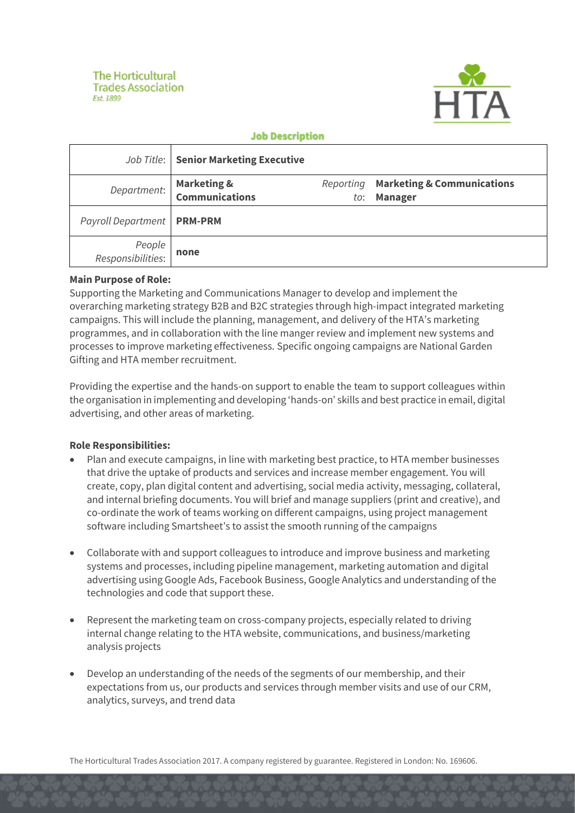

### **Job Description**

|                              | <b>Job Title:   Senior Marketing Executive</b> |                  |                                                         |
|------------------------------|------------------------------------------------|------------------|---------------------------------------------------------|
| Department:                  | Marketing &<br>Communications                  | Reporting<br>to: | <b>Marketing &amp; Communications</b><br><b>Manager</b> |
| Payroll Department   PRM-PRM |                                                |                  |                                                         |
| People<br>:Responsibilities  | none                                           |                  |                                                         |

### **Main Purpose of Role:**

Supporting the Marketing and Communications Manager to develop and implement the overarching marketing strategy B2B and B2C strategies through high-impact integrated marketing campaigns. This will include the planning, management, and delivery of the HTA's marketing programmes, and in collaboration with the line manger review and implement new systems and processes to improve marketing effectiveness. Specific ongoing campaigns are National Garden Gifting and HTA member recruitment.

Providing the expertise and the hands-on support to enable the team to support colleagues within the organisation in implementing and developing 'hands-on' skills and best practice in email, digital advertising, and other areas of marketing.

# **Role Responsibilities:**

- Plan and execute campaigns, in line with marketing best practice, to HTA member businesses that drive the uptake of products and services and increase member engagement. You will create, copy, plan digital content and advertising, social media activity, messaging, collateral, and internal briefing documents. You will brief and manage suppliers (print and creative), and co-ordinate the work of teams working on different campaigns, using project management software including Smartsheet's to assist the smooth running of the campaigns
- Collaborate with and support colleagues to introduce and improve business and marketing systems and processes, including pipeline management, marketing automation and digital advertising using Google Ads, Facebook Business, Google Analytics and understanding of the technologies and code that support these.
- Represent the marketing team on cross-company projects, especially related to driving internal change relating to the HTA website, communications, and business/marketing analysis projects
- Develop an understanding of the needs of the segments of our membership, and their expectations from us, our products and services through member visits and use of our CRM, analytics, surveys, and trend data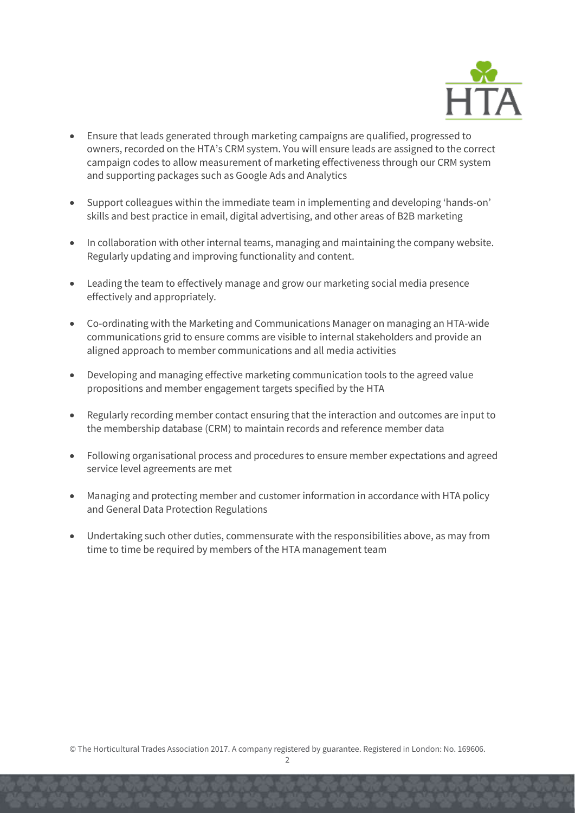

- Ensure that leads generated through marketing campaigns are qualified, progressed to owners, recorded on the HTA's CRM system. You will ensure leads are assigned to the correct campaign codes to allow measurement of marketing effectiveness through our CRM system and supporting packages such as Google Ads and Analytics
- Support colleagues within the immediate team in implementing and developing 'hands-on' skills and best practice in email, digital advertising, and other areas of B2B marketing
- In collaboration with other internal teams, managing and maintaining the company website. Regularly updating and improving functionality and content.
- Leading the team to effectively manage and grow our marketing social media presence effectively and appropriately.
- Co-ordinating with the Marketing and Communications Manager on managing an HTA-wide communications grid to ensure comms are visible to internal stakeholders and provide an aligned approach to member communications and all media activities
- Developing and managing effective marketing communication tools to the agreed value propositions and member engagement targets specified by the HTA
- Regularly recording member contact ensuring that the interaction and outcomes are input to the membership database (CRM) to maintain records and reference member data
- Following organisational process and procedures to ensure member expectations and agreed service level agreements are met
- Managing and protecting member and customer information in accordance with HTA policy and General Data Protection Regulations
- Undertaking such other duties, commensurate with the responsibilities above, as may from time to time be required by members of the HTA management team

© The Horticultural Trades Association 2017. A company registered by guarantee. Registered in London: No. 169606.